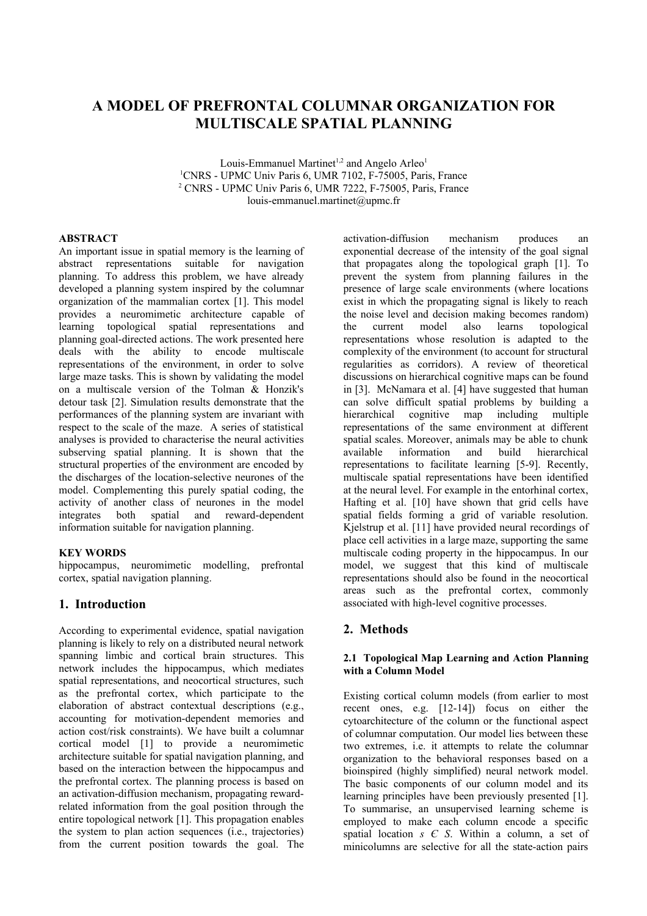# **A MODEL OF PREFRONTAL COLUMNAR ORGANIZATION FOR MULTISCALE SPATIAL PLANNING**

Louis-Emmanuel Martinet<sup>1,2</sup> and Angelo Arleo<sup>1</sup> <sup>1</sup>CNRS - UPMC Univ Paris 6, UMR 7102, F-75005, Paris, France 2 CNRS - UPMC Univ Paris 6, UMR 7222, F-75005, Paris, France louis-emmanuel.martinet@upmc.fr

## **ABSTRACT**

An important issue in spatial memory is the learning of abstract representations suitable for navigation planning. To address this problem, we have already developed a planning system inspired by the columnar organization of the mammalian cortex [1]. This model provides a neuromimetic architecture capable of learning topological spatial representations and planning goal-directed actions. The work presented here deals with the ability to encode multiscale representations of the environment, in order to solve large maze tasks. This is shown by validating the model on a multiscale version of the Tolman & Honzik's detour task [2]. Simulation results demonstrate that the performances of the planning system are invariant with respect to the scale of the maze. A series of statistical analyses is provided to characterise the neural activities subserving spatial planning. It is shown that the structural properties of the environment are encoded by the discharges of the location-selective neurones of the model. Complementing this purely spatial coding, the activity of another class of neurones in the model integrates both spatial and reward-dependent information suitable for navigation planning.

## **KEY WORDS**

hippocampus, neuromimetic modelling, prefrontal cortex, spatial navigation planning.

## **1. Introduction**

According to experimental evidence, spatial navigation planning is likely to rely on a distributed neural network spanning limbic and cortical brain structures. This network includes the hippocampus, which mediates spatial representations, and neocortical structures, such as the prefrontal cortex, which participate to the elaboration of abstract contextual descriptions (e.g., accounting for motivation-dependent memories and action cost/risk constraints). We have built a columnar cortical model [1] to provide a neuromimetic architecture suitable for spatial navigation planning, and based on the interaction between the hippocampus and the prefrontal cortex. The planning process is based on an activation-diffusion mechanism, propagating rewardrelated information from the goal position through the entire topological network [1]. This propagation enables the system to plan action sequences (i.e., trajectories) from the current position towards the goal. The activation-diffusion mechanism produces an exponential decrease of the intensity of the goal signal that propagates along the topological graph [1]. To prevent the system from planning failures in the presence of large scale environments (where locations exist in which the propagating signal is likely to reach the noise level and decision making becomes random) the current model also learns topological representations whose resolution is adapted to the complexity of the environment (to account for structural regularities as corridors). A review of theoretical discussions on hierarchical cognitive maps can be found in [3]. McNamara et al. [4] have suggested that human can solve difficult spatial problems by building a hierarchical cognitive map including multiple representations of the same environment at different spatial scales. Moreover, animals may be able to chunk available information and build hierarchical representations to facilitate learning [5-9]. Recently, multiscale spatial representations have been identified at the neural level. For example in the entorhinal cortex, Hafting et al. [10] have shown that grid cells have spatial fields forming a grid of variable resolution. Kjelstrup et al. [11] have provided neural recordings of place cell activities in a large maze, supporting the same multiscale coding property in the hippocampus. In our model, we suggest that this kind of multiscale representations should also be found in the neocortical areas such as the prefrontal cortex, commonly associated with high-level cognitive processes.

## **2. Methods**

## **2.1 Topological Map Learning and Action Planning with a Column Model**

Existing cortical column models (from earlier to most recent ones, e.g. [12-14]) focus on either the cytoarchitecture of the column or the functional aspect of columnar computation. Our model lies between these two extremes, i.e. it attempts to relate the columnar organization to the behavioral responses based on a bioinspired (highly simplified) neural network model. The basic components of our column model and its learning principles have been previously presented [1]. To summarise, an unsupervised learning scheme is employed to make each column encode a specific spatial location *s Є S*. Within a column, a set of minicolumns are selective for all the state-action pairs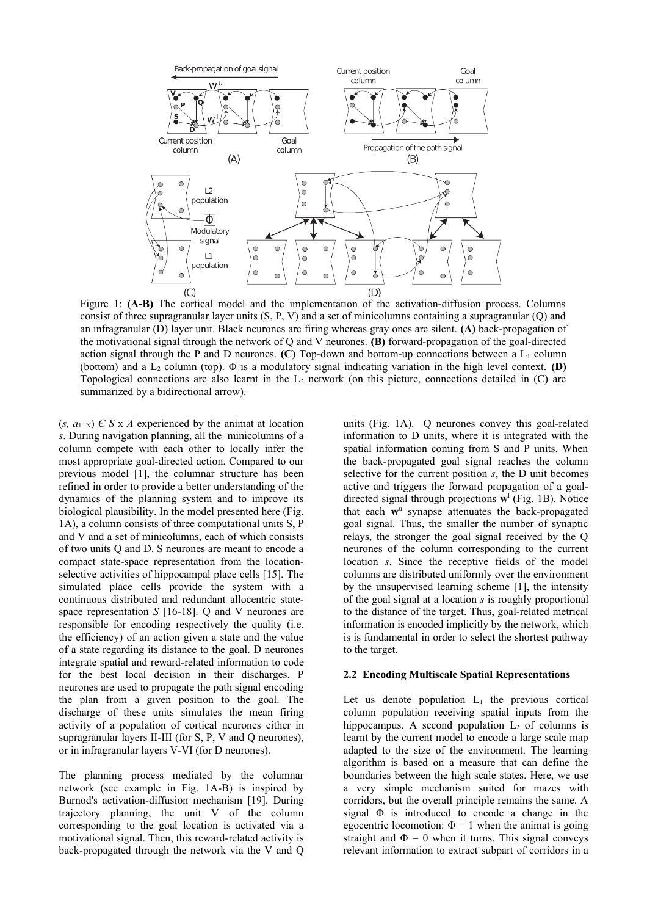

Figure 1: **(A-B)** The cortical model and the implementation of the activation-diffusion process. Columns consist of three supragranular layer units (S, P, V) and a set of minicolumns containing a supragranular (Q) and an infragranular (D) layer unit. Black neurones are firing whereas gray ones are silent. **(A)** back-propagation of the motivational signal through the network of Q and V neurones. **(B)** forward-propagation of the goal-directed action signal through the P and D neurones.  $(C)$  Top-down and bottom-up connections between a  $L_1$  column (bottom) and a  $L_2$  column (top).  $\Phi$  is a modulatory signal indicating variation in the high level context. **(D)** Topological connections are also learnt in the  $L_2$  network (on this picture, connections detailed in  $(C)$  are summarized by a bidirectional arrow).

 $(s, a_{1}$ <sub>N</sub>)  $\in$  *S* x *A* experienced by the animat at location *s*. During navigation planning, all the minicolumns of a column compete with each other to locally infer the most appropriate goal-directed action. Compared to our previous model [1], the columnar structure has been refined in order to provide a better understanding of the dynamics of the planning system and to improve its biological plausibility. In the model presented here (Fig. 1A), a column consists of three computational units S, P and V and a set of minicolumns, each of which consists of two units Q and D. S neurones are meant to encode a compact state-space representation from the locationselective activities of hippocampal place cells [15]. The simulated place cells provide the system with a continuous distributed and redundant allocentric statespace representation *S* [16-18]. Q and V neurones are responsible for encoding respectively the quality (i.e. the efficiency) of an action given a state and the value of a state regarding its distance to the goal. D neurones integrate spatial and reward-related information to code for the best local decision in their discharges. P neurones are used to propagate the path signal encoding the plan from a given position to the goal. The discharge of these units simulates the mean firing activity of a population of cortical neurones either in supragranular layers II-III (for S, P, V and Q neurones), or in infragranular layers V-VI (for D neurones).

The planning process mediated by the columnar network (see example in Fig. 1A-B) is inspired by Burnod's activation-diffusion mechanism [19]. During trajectory planning, the unit V of the column corresponding to the goal location is activated via a motivational signal. Then, this reward-related activity is back-propagated through the network via the V and Q units (Fig. 1A). Q neurones convey this goal-related information to D units, where it is integrated with the spatial information coming from S and P units. When the back-propagated goal signal reaches the column selective for the current position *s*, the D unit becomes active and triggers the forward propagation of a goaldirected signal through projections **w** l (Fig. 1B). Notice that each w<sup>u</sup> synapse attenuates the back-propagated goal signal. Thus, the smaller the number of synaptic relays, the stronger the goal signal received by the Q neurones of the column corresponding to the current location *s*. Since the receptive fields of the model columns are distributed uniformly over the environment by the unsupervised learning scheme [1], the intensity of the goal signal at a location *s* is roughly proportional to the distance of the target. Thus, goal-related metrical information is encoded implicitly by the network, which is is fundamental in order to select the shortest pathway to the target.

#### **2.2 Encoding Multiscale Spatial Representations**

Let us denote population  $L_1$  the previous cortical column population receiving spatial inputs from the hippocampus. A second population  $L_2$  of columns is learnt by the current model to encode a large scale map adapted to the size of the environment. The learning algorithm is based on a measure that can define the boundaries between the high scale states. Here, we use a very simple mechanism suited for mazes with corridors, but the overall principle remains the same. A signal  $\Phi$  is introduced to encode a change in the egocentric locomotion:  $\Phi = 1$  when the animat is going straight and  $\Phi = 0$  when it turns. This signal conveys relevant information to extract subpart of corridors in a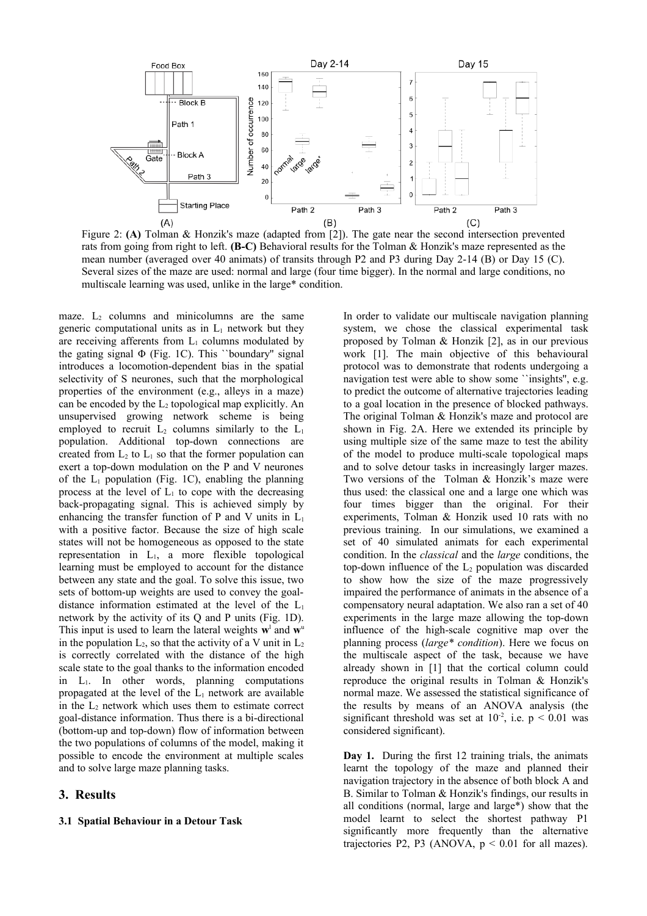

Figure 2: **(A)** Tolman & Honzik's maze (adapted from [2]). The gate near the second intersection prevented rats from going from right to left. **(B-C)** Behavioral results for the Tolman & Honzik's maze represented as the mean number (averaged over 40 animats) of transits through P2 and P3 during Day 2-14 (B) or Day 15 (C). Several sizes of the maze are used: normal and large (four time bigger). In the normal and large conditions, no multiscale learning was used, unlike in the large\* condition.

maze.  $L_2$  columns and minicolumns are the same generic computational units as in  $L_1$  network but they are receiving afferents from  $L_1$  columns modulated by the gating signal  $\Phi$  (Fig. 1C). This "boundary" signal introduces a locomotion-dependent bias in the spatial selectivity of S neurones, such that the morphological properties of the environment (e.g., alleys in a maze) can be encoded by the  $L_2$  topological map explicitly. An unsupervised growing network scheme is being employed to recruit  $L_2$  columns similarly to the  $L_1$ population. Additional top-down connections are created from  $L_2$  to  $L_1$  so that the former population can exert a top-down modulation on the P and V neurones of the  $L_1$  population (Fig. 1C), enabling the planning process at the level of  $L_1$  to cope with the decreasing back-propagating signal. This is achieved simply by enhancing the transfer function of P and V units in  $L_1$ with a positive factor. Because the size of high scale states will not be homogeneous as opposed to the state representation in L1, a more flexible topological learning must be employed to account for the distance between any state and the goal. To solve this issue, two sets of bottom-up weights are used to convey the goaldistance information estimated at the level of the  $L_1$ network by the activity of its Q and P units (Fig. 1D). This input is used to learn the lateral weights  $\mathbf{w}^{\text{l}}$  and  $\mathbf{w}^{\text{u}}$ in the population  $L_2$ , so that the activity of a V unit in  $L_2$ is correctly correlated with the distance of the high scale state to the goal thanks to the information encoded in L1. In other words, planning computations propagated at the level of the  $L_1$  network are available in the  $L_2$  network which uses them to estimate correct goal-distance information. Thus there is a bi-directional (bottom-up and top-down) flow of information between the two populations of columns of the model, making it possible to encode the environment at multiple scales and to solve large maze planning tasks.

## **3. Results**

#### **3.1 Spatial Behaviour in a Detour Task**

In order to validate our multiscale navigation planning system, we chose the classical experimental task proposed by Tolman & Honzik [2], as in our previous work [1]. The main objective of this behavioural protocol was to demonstrate that rodents undergoing a navigation test were able to show some ``insights'', e.g. to predict the outcome of alternative trajectories leading to a goal location in the presence of blocked pathways. The original Tolman & Honzik's maze and protocol are shown in Fig. 2A. Here we extended its principle by using multiple size of the same maze to test the ability of the model to produce multi-scale topological maps and to solve detour tasks in increasingly larger mazes. Two versions of the Tolman & Honzik's maze were thus used: the classical one and a large one which was four times bigger than the original. For their experiments, Tolman & Honzik used 10 rats with no previous training. In our simulations, we examined a set of 40 simulated animats for each experimental condition. In the *classical* and the *large* conditions, the top-down influence of the  $L_2$  population was discarded to show how the size of the maze progressively impaired the performance of animats in the absence of a compensatory neural adaptation. We also ran a set of 40 experiments in the large maze allowing the top-down influence of the high-scale cognitive map over the planning process (*large\* condition*). Here we focus on the multiscale aspect of the task, because we have already shown in [1] that the cortical column could reproduce the original results in Tolman & Honzik's normal maze. We assessed the statistical significance of the results by means of an ANOVA analysis (the significant threshold was set at  $10^{-2}$ , i.e.  $p < 0.01$  was considered significant).

**Day 1.** During the first 12 training trials, the animats learnt the topology of the maze and planned their navigation trajectory in the absence of both block A and B. Similar to Tolman & Honzik's findings, our results in all conditions (normal, large and large\*) show that the model learnt to select the shortest pathway P1 significantly more frequently than the alternative trajectories P2, P3 (ANOVA,  $p < 0.01$  for all mazes).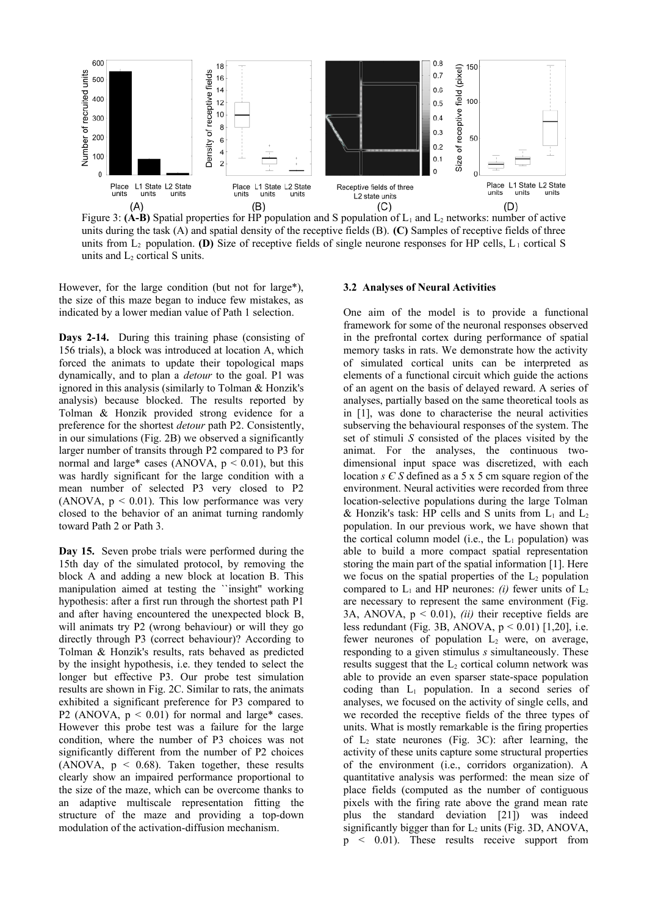

Figure 3: **(A-B)** Spatial properties for HP population and S population of  $L_1$  and  $L_2$  networks: number of active units during the task (A) and spatial density of the receptive fields (B). **(C)** Samples of receptive fields of three units from  $L_2$  population. **(D)** Size of receptive fields of single neurone responses for HP cells,  $L_1$  cortical S units and  $L_2$  cortical S units.

However, for the large condition (but not for large\*), the size of this maze began to induce few mistakes, as indicated by a lower median value of Path 1 selection.

**Days 2-14.** During this training phase (consisting of 156 trials), a block was introduced at location A, which forced the animats to update their topological maps dynamically, and to plan a *detour* to the goal. P1 was ignored in this analysis (similarly to Tolman & Honzik's analysis) because blocked. The results reported by Tolman & Honzik provided strong evidence for a preference for the shortest *detour* path P2. Consistently, in our simulations (Fig. 2B) we observed a significantly larger number of transits through P2 compared to P3 for normal and large\* cases (ANOVA,  $p < 0.01$ ), but this was hardly significant for the large condition with a mean number of selected P3 very closed to P2 (ANOVA,  $p < 0.01$ ). This low performance was very closed to the behavior of an animat turning randomly toward Path 2 or Path 3.

**Day 15.** Seven probe trials were performed during the 15th day of the simulated protocol, by removing the block A and adding a new block at location B. This manipulation aimed at testing the ``insight'' working hypothesis: after a first run through the shortest path P1 and after having encountered the unexpected block B, will animats try P2 (wrong behaviour) or will they go directly through P3 (correct behaviour)? According to Tolman & Honzik's results, rats behaved as predicted by the insight hypothesis, i.e. they tended to select the longer but effective P3. Our probe test simulation results are shown in Fig. 2C. Similar to rats, the animats exhibited a significant preference for P3 compared to P2 (ANOVA,  $p < 0.01$ ) for normal and large\* cases. However this probe test was a failure for the large condition, where the number of P3 choices was not significantly different from the number of P2 choices (ANOVA,  $p \le 0.68$ ). Taken together, these results clearly show an impaired performance proportional to the size of the maze, which can be overcome thanks to an adaptive multiscale representation fitting the structure of the maze and providing a top-down modulation of the activation-diffusion mechanism.

#### **3.2 Analyses of Neural Activities**

One aim of the model is to provide a functional framework for some of the neuronal responses observed in the prefrontal cortex during performance of spatial memory tasks in rats. We demonstrate how the activity of simulated cortical units can be interpreted as elements of a functional circuit which guide the actions of an agent on the basis of delayed reward. A series of analyses, partially based on the same theoretical tools as in [1], was done to characterise the neural activities subserving the behavioural responses of the system. The set of stimuli *S* consisted of the places visited by the animat. For the analyses, the continuous twodimensional input space was discretized, with each location *s Є S* defined as a 5 x 5 cm square region of the environment. Neural activities were recorded from three location-selective populations during the large Tolman & Honzik's task: HP cells and S units from  $L_1$  and  $L_2$ population. In our previous work, we have shown that the cortical column model (i.e., the  $L_1$  population) was able to build a more compact spatial representation storing the main part of the spatial information [1]. Here we focus on the spatial properties of the  $L_2$  population compared to  $L_1$  and HP neurones: *(i)* fewer units of  $L_2$ are necessary to represent the same environment (Fig. 3A, ANOVA,  $p < 0.01$ ), *(ii)* their receptive fields are less redundant (Fig. 3B, ANOVA,  $p < 0.01$ ) [1,20], i.e. fewer neurones of population  $L_2$  were, on average, responding to a given stimulus *s* simultaneously. These results suggest that the  $L_2$  cortical column network was able to provide an even sparser state-space population coding than  $L_1$  population. In a second series of analyses, we focused on the activity of single cells, and we recorded the receptive fields of the three types of units. What is mostly remarkable is the firing properties of  $L_2$  state neurones (Fig. 3C): after learning, the activity of these units capture some structural properties of the environment (i.e., corridors organization). A quantitative analysis was performed: the mean size of place fields (computed as the number of contiguous pixels with the firing rate above the grand mean rate plus the standard deviation [21]) was indeed significantly bigger than for  $L_2$  units (Fig. 3D, ANOVA, p < 0.01). These results receive support from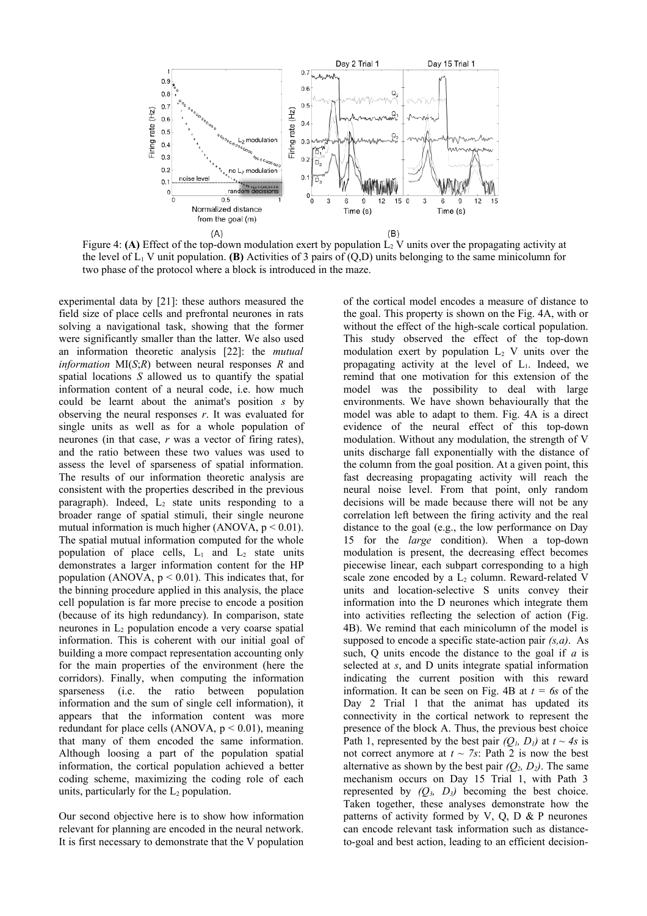

Figure 4: **(A)** Effect of the top-down modulation exert by population  $L_2$  V units over the propagating activity at the level of  $L_1$  V unit population. **(B)** Activities of 3 pairs of  $(Q, D)$  units belonging to the same minicolumn for two phase of the protocol where a block is introduced in the maze.

experimental data by [21]: these authors measured the field size of place cells and prefrontal neurones in rats solving a navigational task, showing that the former were significantly smaller than the latter. We also used an information theoretic analysis [22]: the *mutual information* MI(*S*;*R*) between neural responses *R* and spatial locations *S* allowed us to quantify the spatial information content of a neural code, i.e. how much could be learnt about the animat's position *s* by observing the neural responses *r*. It was evaluated for single units as well as for a whole population of neurones (in that case, *r* was a vector of firing rates), and the ratio between these two values was used to assess the level of sparseness of spatial information. The results of our information theoretic analysis are consistent with the properties described in the previous paragraph). Indeed,  $L_2$  state units responding to a broader range of spatial stimuli, their single neurone mutual information is much higher (ANOVA,  $p < 0.01$ ). The spatial mutual information computed for the whole population of place cells,  $L_1$  and  $L_2$  state units demonstrates a larger information content for the HP population (ANOVA,  $p \le 0.01$ ). This indicates that, for the binning procedure applied in this analysis, the place cell population is far more precise to encode a position (because of its high redundancy). In comparison, state neurones in  $L_2$  population encode a very coarse spatial information. This is coherent with our initial goal of building a more compact representation accounting only for the main properties of the environment (here the corridors). Finally, when computing the information sparseness (i.e. the ratio between population information and the sum of single cell information), it appears that the information content was more redundant for place cells (ANOVA,  $p < 0.01$ ), meaning that many of them encoded the same information. Although loosing a part of the population spatial information, the cortical population achieved a better coding scheme, maximizing the coding role of each units, particularly for the  $L_2$  population.

Our second objective here is to show how information relevant for planning are encoded in the neural network. It is first necessary to demonstrate that the V population of the cortical model encodes a measure of distance to the goal. This property is shown on the Fig. 4A, with or without the effect of the high-scale cortical population. This study observed the effect of the top-down modulation exert by population  $L_2$  V units over the propagating activity at the level of L1. Indeed, we remind that one motivation for this extension of the model was the possibility to deal with large environments. We have shown behaviourally that the model was able to adapt to them. Fig. 4A is a direct evidence of the neural effect of this top-down modulation. Without any modulation, the strength of V units discharge fall exponentially with the distance of the column from the goal position. At a given point, this fast decreasing propagating activity will reach the neural noise level. From that point, only random decisions will be made because there will not be any correlation left between the firing activity and the real distance to the goal (e.g., the low performance on Day 15 for the *large* condition). When a top-down modulation is present, the decreasing effect becomes piecewise linear, each subpart corresponding to a high scale zone encoded by a  $L_2$  column. Reward-related V units and location-selective S units convey their information into the D neurones which integrate them into activities reflecting the selection of action (Fig. 4B). We remind that each minicolumn of the model is supposed to encode a specific state-action pair *(s,a)*. As such, Q units encode the distance to the goal if *a* is selected at *s*, and D units integrate spatial information indicating the current position with this reward information. It can be seen on Fig. 4B at  $t = 6s$  of the Day 2 Trial 1 that the animat has updated its connectivity in the cortical network to represent the presence of the block A. Thus, the previous best choice Path 1, represented by the best pair  $(Q_l, D_l)$  at  $t \sim 4s$  is not correct anymore at  $t \sim 7s$ : Path 2 is now the best alternative as shown by the best pair  $(Q_2, D_2)$ . The same mechanism occurs on Day 15 Trial 1, with Path 3 represented by  $(Q_3, D_3)$  becoming the best choice. Taken together, these analyses demonstrate how the patterns of activity formed by V, Q, D  $\&$  P neurones can encode relevant task information such as distanceto-goal and best action, leading to an efficient decision